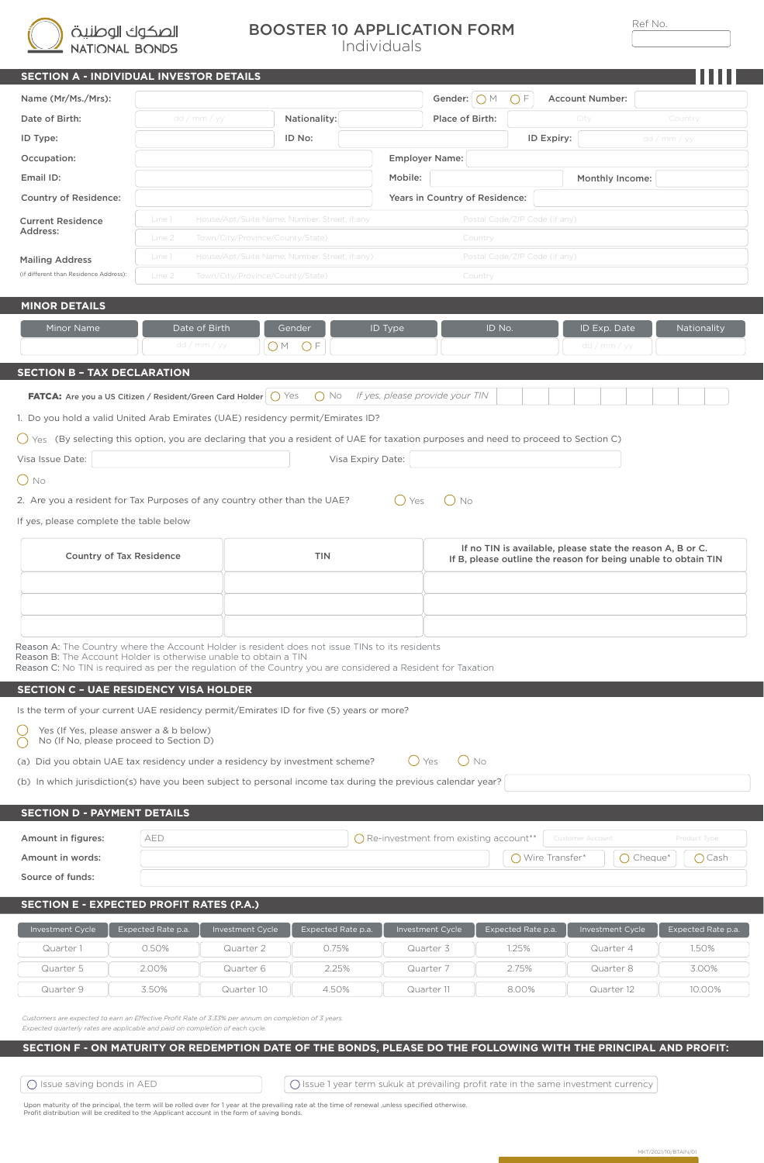الصكوك الوطنية<br>NATIONAL BONDS

ī

## BOOSTER 10 APPLICATION FORM

Individuals

| the control of the con- | and the contract of |
|-------------------------|---------------------|
|                         |                     |

| SECTION A - INDIVIDUAL INVESTOR DETAILS                                                                                                                                               |                               |                                               |                    |                                                        |                                                                                                                              |                               |                              |                    |
|---------------------------------------------------------------------------------------------------------------------------------------------------------------------------------------|-------------------------------|-----------------------------------------------|--------------------|--------------------------------------------------------|------------------------------------------------------------------------------------------------------------------------------|-------------------------------|------------------------------|--------------------|
| Name (Mr/Ms./Mrs):                                                                                                                                                                    |                               |                                               |                    | Gender: $\bigcirc$ M<br>$\bigcap F$<br>Account Number: |                                                                                                                              |                               |                              |                    |
| Date of Birth:                                                                                                                                                                        |                               | Nationality:<br>dd / mm / yy                  |                    |                                                        | Place of Birth:                                                                                                              |                               | City                         | Country            |
| ID Type:                                                                                                                                                                              |                               |                                               | ID No:             |                                                        |                                                                                                                              | <b>ID Expiry:</b>             |                              | dd / mm / yy       |
| Occupation:                                                                                                                                                                           |                               |                                               |                    | <b>Employer Name:</b>                                  |                                                                                                                              |                               |                              |                    |
| Email ID:                                                                                                                                                                             |                               |                                               |                    | Mobile:                                                |                                                                                                                              |                               | Monthly Income:              |                    |
| <b>Country of Residence:</b>                                                                                                                                                          |                               |                                               |                    |                                                        | Years in Country of Residence:                                                                                               |                               |                              |                    |
| <b>Current Residence</b>                                                                                                                                                              | Line 1                        | House/Apt/Suite Name, Number, Street, if any  |                    |                                                        |                                                                                                                              | Postal Code/ZIP Code (if any) |                              |                    |
| Address:                                                                                                                                                                              | Line 2                        | Town/City/Province/County/State)              |                    |                                                        | Country                                                                                                                      |                               |                              |                    |
| <b>Mailing Address</b>                                                                                                                                                                | Line 1                        | House/Apt/Suite Name, Number, Street, if any) |                    |                                                        |                                                                                                                              | Postal Code/ZIP Code (if any) |                              |                    |
| (if different than Residence Address):                                                                                                                                                | Line 2                        | Town/City/Province/County/State)              |                    |                                                        | Country                                                                                                                      |                               |                              |                    |
| <b>MINOR DETAILS</b>                                                                                                                                                                  |                               |                                               |                    |                                                        |                                                                                                                              |                               |                              |                    |
| Minor Name                                                                                                                                                                            | Date of Birth<br>dd / mm / yy | Gender<br>OM OF                               |                    | ID Type                                                |                                                                                                                              | ID No.                        | ID Exp. Date<br>dd / mm / yy | Nationality        |
| <b>SECTION B - TAX DECLARATION</b>                                                                                                                                                    |                               |                                               |                    |                                                        |                                                                                                                              |                               |                              |                    |
| <b>FATCA:</b> Are you a US Citizen / Resident/Green Card Holder $\bigcirc$ Yes                                                                                                        |                               |                                               |                    |                                                        | $\bigcap$ No If yes, please provide your TIN                                                                                 |                               |                              |                    |
| 1. Do you hold a valid United Arab Emirates (UAE) residency permit/Emirates ID?                                                                                                       |                               |                                               |                    |                                                        |                                                                                                                              |                               |                              |                    |
| () Yes (By selecting this option, you are declaring that you a resident of UAE for taxation purposes and need to proceed to Section C)                                                |                               |                                               |                    |                                                        |                                                                                                                              |                               |                              |                    |
| Visa Issue Date:                                                                                                                                                                      |                               |                                               | Visa Expiry Date:  |                                                        |                                                                                                                              |                               |                              |                    |
| $O$ No                                                                                                                                                                                |                               |                                               |                    |                                                        |                                                                                                                              |                               |                              |                    |
| 2. Are you a resident for Tax Purposes of any country other than the UAE?                                                                                                             |                               |                                               |                    | $()$ Yes                                               | $()$ No                                                                                                                      |                               |                              |                    |
| If yes, please complete the table below                                                                                                                                               |                               |                                               |                    |                                                        |                                                                                                                              |                               |                              |                    |
|                                                                                                                                                                                       |                               |                                               |                    |                                                        |                                                                                                                              |                               |                              |                    |
| <b>Country of Tax Residence</b>                                                                                                                                                       |                               |                                               | <b>TIN</b>         |                                                        | If no TIN is available, please state the reason A, B or C.<br>If B, please outline the reason for being unable to obtain TIN |                               |                              |                    |
|                                                                                                                                                                                       |                               |                                               |                    |                                                        |                                                                                                                              |                               |                              |                    |
|                                                                                                                                                                                       |                               |                                               |                    |                                                        |                                                                                                                              |                               |                              |                    |
|                                                                                                                                                                                       |                               |                                               |                    |                                                        |                                                                                                                              |                               |                              |                    |
| Reason A: The Country where the Account Holder is resident does not issue TINs to its residents                                                                                       |                               |                                               |                    |                                                        |                                                                                                                              |                               |                              |                    |
| Reason B: The Account Holder is otherwise unable to obtain a TIN<br>Reason C: No TIN is required as per the regulation of the Country you are considered a Resident for Taxation      |                               |                                               |                    |                                                        |                                                                                                                              |                               |                              |                    |
| <b>SECTION C - UAE RESIDENCY VISA HOLDER</b>                                                                                                                                          |                               |                                               |                    |                                                        |                                                                                                                              |                               |                              |                    |
| Is the term of your current UAE residency permit/Emirates ID for five (5) years or more?                                                                                              |                               |                                               |                    |                                                        |                                                                                                                              |                               |                              |                    |
| $\left( \quad \right)$<br>Yes (If Yes, please answer a & b below)                                                                                                                     |                               |                                               |                    |                                                        |                                                                                                                              |                               |                              |                    |
| No (If No, please proceed to Section D)<br>$\left(\begin{array}{c} \end{array}\right)$                                                                                                |                               |                                               |                    |                                                        |                                                                                                                              |                               |                              |                    |
| (a) Did you obtain UAE tax residency under a residency by investment scheme?                                                                                                          |                               |                                               |                    | $()$ Yes                                               | $()$ No                                                                                                                      |                               |                              |                    |
| (b) In which jurisdiction(s) have you been subject to personal income tax during the previous calendar year?                                                                          |                               |                                               |                    |                                                        |                                                                                                                              |                               |                              |                    |
| <b>SECTION D - PAYMENT DETAILS</b>                                                                                                                                                    |                               |                                               |                    |                                                        |                                                                                                                              |                               |                              |                    |
|                                                                                                                                                                                       |                               |                                               |                    |                                                        |                                                                                                                              |                               |                              |                    |
| Amount in figures:                                                                                                                                                                    | AED                           |                                               |                    |                                                        | $\bigcap$ Re-investment from existing account**                                                                              |                               | <b>Customer Account</b>      | Product Type       |
| Amount in words:                                                                                                                                                                      |                               |                                               |                    |                                                        |                                                                                                                              | ◯ Wire Transfer*              | $\bigcap$ Cheque*            | $\bigcirc$ Cash    |
| Source of funds:                                                                                                                                                                      |                               |                                               |                    |                                                        |                                                                                                                              |                               |                              |                    |
| <b>SECTION E - EXPECTED PROFIT RATES (P.A.)</b>                                                                                                                                       |                               |                                               |                    |                                                        |                                                                                                                              |                               |                              |                    |
| Investment Cycle                                                                                                                                                                      | Expected Rate p.a.            | Investment Cycle                              | Expected Rate p.a. |                                                        | Investment Cycle                                                                                                             | Expected Rate p.a.            | Investment Cycle             | Expected Rate p.a. |
| Quarter 1                                                                                                                                                                             | 0.50%                         | Quarter 2                                     | 0.75%              |                                                        | Quarter 3                                                                                                                    | 1.25%                         | Quarter 4                    | 1.50%              |
| Quarter 5                                                                                                                                                                             | 2.00%                         | Quarter 6                                     | 2.25%              |                                                        | Quarter 7                                                                                                                    | 2.75%                         | Quarter 8                    | 3.00%              |
| Quarter 9                                                                                                                                                                             | 3.50%                         | Quarter 10                                    | 4.50%              |                                                        | Quarter 11                                                                                                                   | 8.00%                         | Quarter 12                   | 10.00%             |
|                                                                                                                                                                                       |                               |                                               |                    |                                                        |                                                                                                                              |                               |                              |                    |
| Customers are expected to earn an Effective Profit Rate of 3.33% per annum on completion of 3 years.<br>Expected quarterly rates are applicable and paid on completion of each cycle. |                               |                                               |                    |                                                        |                                                                                                                              |                               |                              |                    |
| SECTION F - ON MATURITY OR REDEMPTION DATE OF THE BONDS, PLEASE DO THE FOLLOWING WITH THE PRINCIPAL AND PROFIT:                                                                       |                               |                                               |                    |                                                        |                                                                                                                              |                               |                              |                    |
|                                                                                                                                                                                       |                               |                                               |                    |                                                        |                                                                                                                              |                               |                              |                    |

 $\bigcirc$  Issue saving bonds in AED  $\bigcirc$  issue 1 year term sukuk at prevailing profit rate in the same investment currency

Upon maturity of the principal, the term will be rolled over for 1 year at the prevailing rate at the time of renewal ,unless specified otherwise.<br>Profit distribution will be credited to the Applicant account in the form o